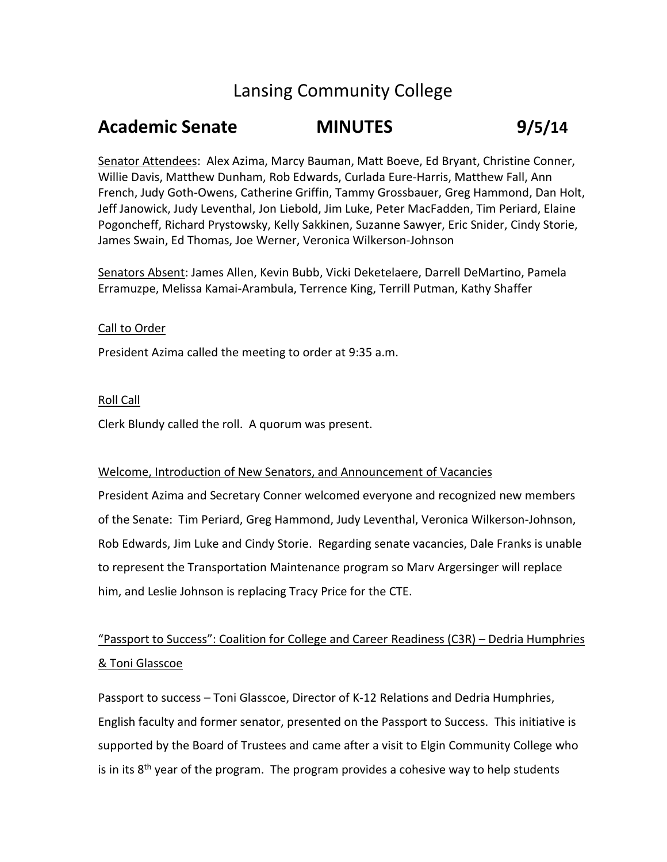# Lansing Community College

# **Academic Senate MINUTES 9/5/14**

Senator Attendees: Alex Azima, Marcy Bauman, Matt Boeve, Ed Bryant, Christine Conner, Willie Davis, Matthew Dunham, Rob Edwards, Curlada Eure-Harris, Matthew Fall, Ann French, Judy Goth-Owens, Catherine Griffin, Tammy Grossbauer, Greg Hammond, Dan Holt, Jeff Janowick, Judy Leventhal, Jon Liebold, Jim Luke, Peter MacFadden, Tim Periard, Elaine Pogoncheff, Richard Prystowsky, Kelly Sakkinen, Suzanne Sawyer, Eric Snider, Cindy Storie, James Swain, Ed Thomas, Joe Werner, Veronica Wilkerson-Johnson

Senators Absent: James Allen, Kevin Bubb, Vicki Deketelaere, Darrell DeMartino, Pamela Erramuzpe, Melissa Kamai-Arambula, Terrence King, Terrill Putman, Kathy Shaffer

#### Call to Order

President Azima called the meeting to order at 9:35 a.m.

#### Roll Call

Clerk Blundy called the roll. A quorum was present.

#### Welcome, Introduction of New Senators, and Announcement of Vacancies

President Azima and Secretary Conner welcomed everyone and recognized new members of the Senate: Tim Periard, Greg Hammond, Judy Leventhal, Veronica Wilkerson-Johnson, Rob Edwards, Jim Luke and Cindy Storie. Regarding senate vacancies, Dale Franks is unable to represent the Transportation Maintenance program so Marv Argersinger will replace him, and Leslie Johnson is replacing Tracy Price for the CTE.

### "Passport to Success": Coalition for College and Career Readiness (C3R) – Dedria Humphries & Toni Glasscoe

Passport to success – Toni Glasscoe, Director of K-12 Relations and Dedria Humphries, English faculty and former senator, presented on the Passport to Success. This initiative is supported by the Board of Trustees and came after a visit to Elgin Community College who is in its 8<sup>th</sup> year of the program. The program provides a cohesive way to help students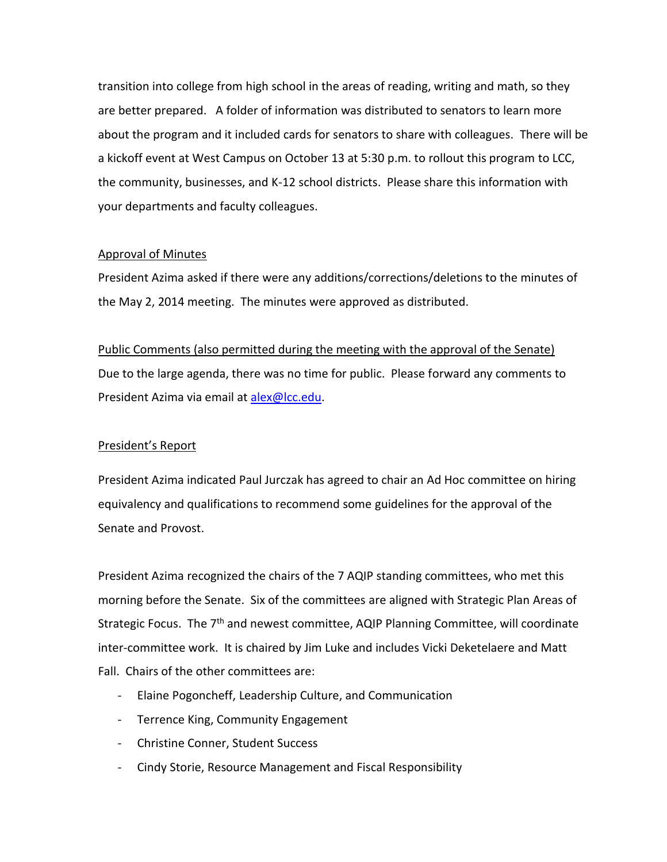transition into college from high school in the areas of reading, writing and math, so they are better prepared. A folder of information was distributed to senators to learn more about the program and it included cards for senators to share with colleagues. There will be a kickoff event at West Campus on October 13 at 5:30 p.m. to rollout this program to LCC, the community, businesses, and K-12 school districts. Please share this information with your departments and faculty colleagues.

#### Approval of Minutes

President Azima asked if there were any additions/corrections/deletions to the minutes of the May 2, 2014 meeting. The minutes were approved as distributed.

Public Comments (also permitted during the meeting with the approval of the Senate) Due to the large agenda, there was no time for public. Please forward any comments to President Azima via email at [alex@lcc.edu.](mailto:alex@lcc.edu)

#### President's Report

President Azima indicated Paul Jurczak has agreed to chair an Ad Hoc committee on hiring equivalency and qualifications to recommend some guidelines for the approval of the Senate and Provost.

President Azima recognized the chairs of the 7 AQIP standing committees, who met this morning before the Senate. Six of the committees are aligned with Strategic Plan Areas of Strategic Focus. The 7<sup>th</sup> and newest committee, AQIP Planning Committee, will coordinate inter-committee work. It is chaired by Jim Luke and includes Vicki Deketelaere and Matt Fall. Chairs of the other committees are:

- Elaine Pogoncheff, Leadership Culture, and Communication
- Terrence King, Community Engagement
- Christine Conner, Student Success
- Cindy Storie, Resource Management and Fiscal Responsibility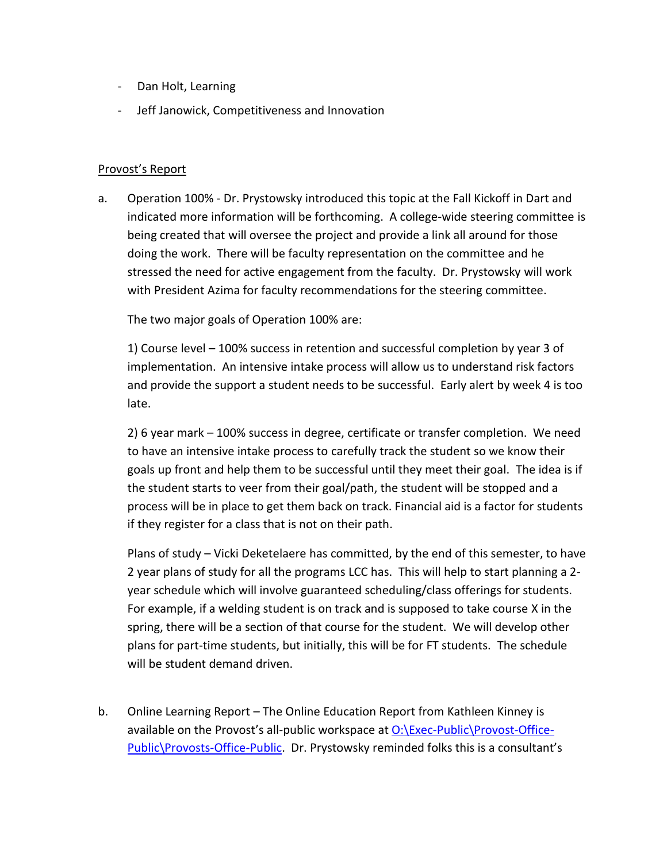- Dan Holt, Learning
- Jeff Janowick, Competitiveness and Innovation

#### Provost's Report

a. Operation 100% - Dr. Prystowsky introduced this topic at the Fall Kickoff in Dart and indicated more information will be forthcoming. A college-wide steering committee is being created that will oversee the project and provide a link all around for those doing the work. There will be faculty representation on the committee and he stressed the need for active engagement from the faculty. Dr. Prystowsky will work with President Azima for faculty recommendations for the steering committee.

The two major goals of Operation 100% are:

1) Course level – 100% success in retention and successful completion by year 3 of implementation. An intensive intake process will allow us to understand risk factors and provide the support a student needs to be successful. Early alert by week 4 is too late.

2) 6 year mark – 100% success in degree, certificate or transfer completion. We need to have an intensive intake process to carefully track the student so we know their goals up front and help them to be successful until they meet their goal. The idea is if the student starts to veer from their goal/path, the student will be stopped and a process will be in place to get them back on track. Financial aid is a factor for students if they register for a class that is not on their path.

Plans of study – Vicki Deketelaere has committed, by the end of this semester, to have 2 year plans of study for all the programs LCC has. This will help to start planning a 2 year schedule which will involve guaranteed scheduling/class offerings for students. For example, if a welding student is on track and is supposed to take course X in the spring, there will be a section of that course for the student. We will develop other plans for part-time students, but initially, this will be for FT students. The schedule will be student demand driven.

b. Online Learning Report – The Online Education Report from Kathleen Kinney is available on the Provost's all-public workspace at [O:\Exec-Public\Provost-Office-](file://fleetwood/lcc-all-public/Exec-Public/Provost-Office-Public/Provosts-Office-Public)[Public\Provosts-Office-Public.](file://fleetwood/lcc-all-public/Exec-Public/Provost-Office-Public/Provosts-Office-Public) Dr. Prystowsky reminded folks this is a consultant's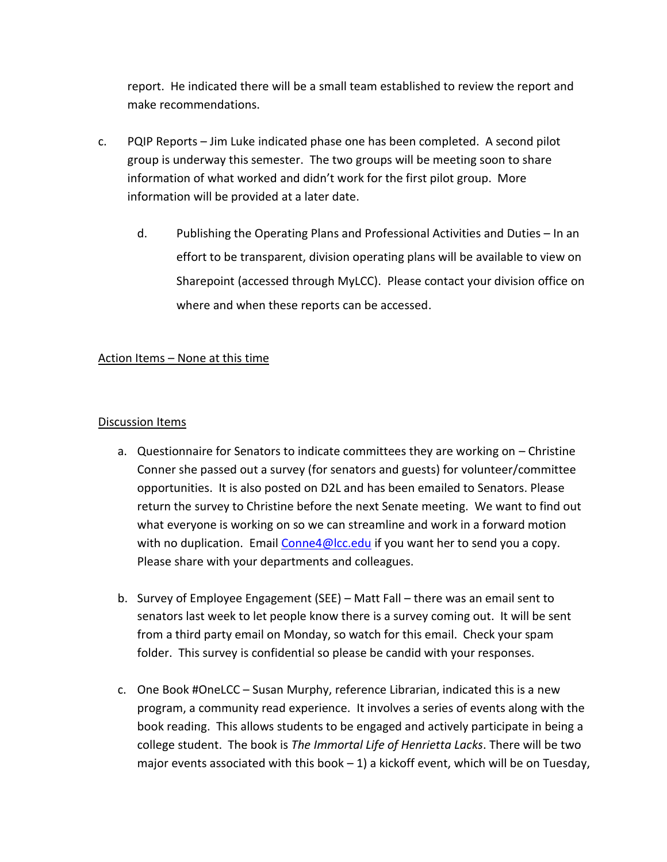report. He indicated there will be a small team established to review the report and make recommendations.

- c. PQIP Reports Jim Luke indicated phase one has been completed. A second pilot group is underway this semester. The two groups will be meeting soon to share information of what worked and didn't work for the first pilot group. More information will be provided at a later date.
	- d. Publishing the Operating Plans and Professional Activities and Duties In an effort to be transparent, division operating plans will be available to view on Sharepoint (accessed through MyLCC). Please contact your division office on where and when these reports can be accessed.

### Action Items – None at this time

#### Discussion Items

- a. Questionnaire for Senators to indicate committees they are working on Christine Conner she passed out a survey (for senators and guests) for volunteer/committee opportunities. It is also posted on D2L and has been emailed to Senators. Please return the survey to Christine before the next Senate meeting. We want to find out what everyone is working on so we can streamline and work in a forward motion with no duplication. Email [Conne4@lcc.edu](mailto:Conne4@lcc.edu) if you want her to send you a copy. Please share with your departments and colleagues.
- b. Survey of Employee Engagement (SEE) Matt Fall there was an email sent to senators last week to let people know there is a survey coming out. It will be sent from a third party email on Monday, so watch for this email. Check your spam folder. This survey is confidential so please be candid with your responses.
- c. One Book #OneLCC Susan Murphy, reference Librarian, indicated this is a new program, a community read experience. It involves a series of events along with the book reading. This allows students to be engaged and actively participate in being a college student. The book is *The Immortal Life of Henrietta Lacks*. There will be two major events associated with this book  $-1$ ) a kickoff event, which will be on Tuesday,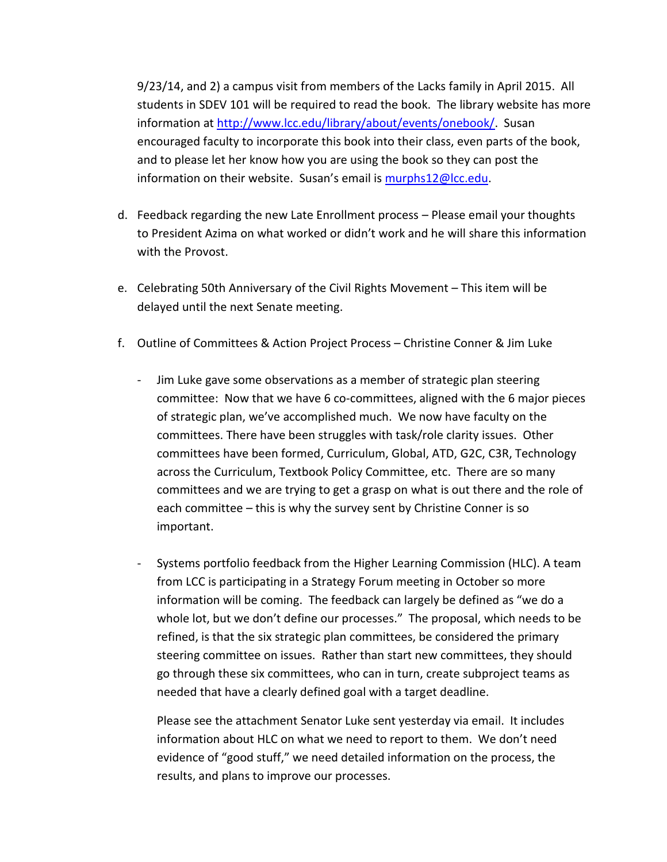9/23/14, and 2) a campus visit from members of the Lacks family in April 2015. All students in SDEV 101 will be required to read the book. The library website has more information at [http://www.lcc.edu/library/about/events/onebook/.](http://www.lcc.edu/library/about/events/onebook/) Susan encouraged faculty to incorporate this book into their class, even parts of the book, and to please let her know how you are using the book so they can post the information on their website. Susan's email is [murphs12@lcc.edu.](mailto:murphs12@lcc.edu)

- d. Feedback regarding the new Late Enrollment process Please email your thoughts to President Azima on what worked or didn't work and he will share this information with the Provost.
- e. Celebrating 50th Anniversary of the Civil Rights Movement This item will be delayed until the next Senate meeting.
- f. Outline of Committees & Action Project Process Christine Conner & Jim Luke
	- Jim Luke gave some observations as a member of strategic plan steering committee: Now that we have 6 co-committees, aligned with the 6 major pieces of strategic plan, we've accomplished much. We now have faculty on the committees. There have been struggles with task/role clarity issues. Other committees have been formed, Curriculum, Global, ATD, G2C, C3R, Technology across the Curriculum, Textbook Policy Committee, etc. There are so many committees and we are trying to get a grasp on what is out there and the role of each committee – this is why the survey sent by Christine Conner is so important.
	- Systems portfolio feedback from the Higher Learning Commission (HLC). A team from LCC is participating in a Strategy Forum meeting in October so more information will be coming. The feedback can largely be defined as "we do a whole lot, but we don't define our processes." The proposal, which needs to be refined, is that the six strategic plan committees, be considered the primary steering committee on issues. Rather than start new committees, they should go through these six committees, who can in turn, create subproject teams as needed that have a clearly defined goal with a target deadline.

Please see the attachment Senator Luke sent yesterday via email. It includes information about HLC on what we need to report to them. We don't need evidence of "good stuff," we need detailed information on the process, the results, and plans to improve our processes.